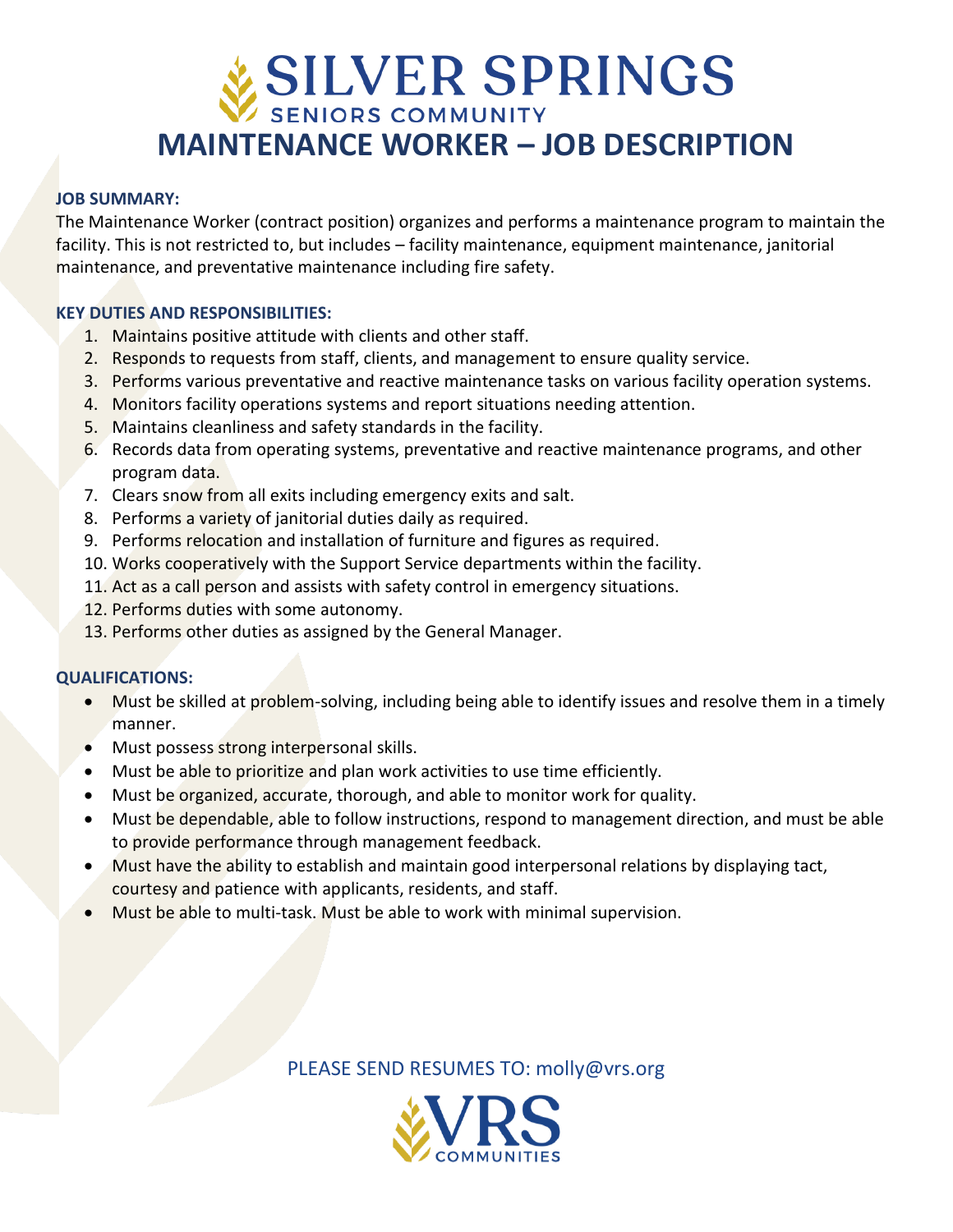# SILVER SPRINGS **MAINTENANCE WORKER – JOB DESCRIPTION**

#### **JOB SUMMARY:**

The Maintenance Worker (contract position) organizes and performs a maintenance program to maintain the facility. This is not restricted to, but includes – facility maintenance, equipment maintenance, janitorial maintenance, and preventative maintenance including fire safety.

### **KEY DUTIES AND RESPONSIBILITIES:**

- 1. Maintains positive attitude with clients and other staff.
- 2. Responds to requests from staff, clients, and management to ensure quality service.
- 3. Performs various preventative and reactive maintenance tasks on various facility operation systems.
- 4. Monitors facility operations systems and report situations needing attention.
- 5. Maintains cleanliness and safety standards in the facility.
- 6. Records data from operating systems, preventative and reactive maintenance programs, and other program data.
- 7. Clears snow from all exits including emergency exits and salt.
- 8. Performs a variety of janitorial duties daily as required.
- 9. Performs relocation and installation of furniture and figures as required.
- 10. Works cooperatively with the Support Service departments within the facility.
- 11. Act as a call person and assists with safety control in emergency situations.
- 12. Performs duties with some autonomy.
- 13. Performs other duties as assigned by the General Manager.

#### **QUALIFICATIONS:**

- Must be skilled at problem-solving, including being able to identify issues and resolve them in a timely manner.
- Must possess strong interpersonal skills.
- Must be able to prioritize and plan work activities to use time efficiently.
- Must be organized, accurate, thorough, and able to monitor work for quality.
- Must be dependable, able to follow instructions, respond to management direction, and must be able to provide performance through management feedback.
- Must have the ability to establish and maintain good interpersonal relations by displaying tact, courtesy and patience with applicants, residents, and staff.
- Must be able to multi-task. Must be able to work with minimal supervision.

PLEASE SEND RESUMES TO: molly@vrs.org